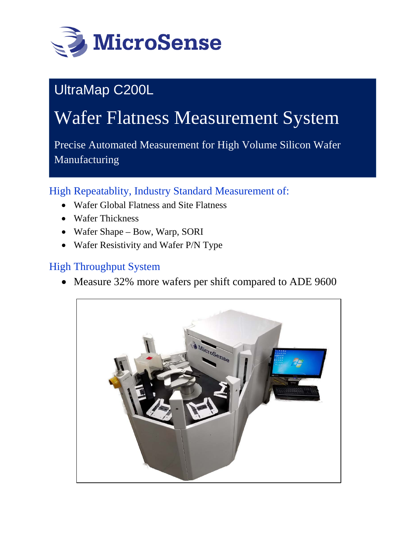

# UltraMap C200L

# Wafer Flatness Measurement System

Precise Automated Measurement for High Volume Silicon Wafer Manufacturing

High Repeatablity, Industry Standard Measurement of:

- Wafer Global Flatness and Site Flatness
- Wafer Thickness
- Wafer Shape Bow, Warp, SORI
- Wafer Resistivity and Wafer P/N Type

### High Throughput System

• Measure 32% more wafers per shift compared to ADE 9600

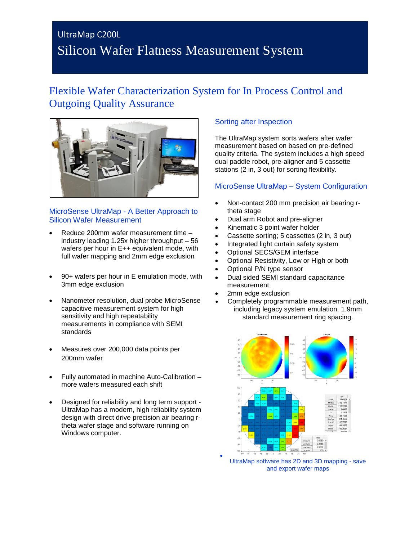### UltraMap C200L Silicon Wafer Flatness Measurement System

### Flexible Wafer Characterization System for In Process Control and Outgoing Quality Assurance



#### MicroSense UltraMap - A Better Approach to Silicon Wafer Measurement

- Reduce 200mm wafer measurement time industry leading 1.25x higher throughput – 56 wafers per hour in E++ equivalent mode, with full wafer mapping and 2mm edge exclusion
- 90+ wafers per hour in E emulation mode, with 3mm edge exclusion
- Nanometer resolution, dual probe MicroSense capacitive measurement system for high sensitivity and high repeatability measurements in compliance with SEMI standards
- Measures over 200,000 data points per 200mm wafer
- Fully automated in machine Auto-Calibration more wafers measured each shift
- Designed for reliability and long term support UltraMap has a modern, high reliability system design with direct drive precision air bearing rtheta wafer stage and software running on Windows computer.

#### Sorting after Inspection

The UltraMap system sorts wafers after wafer measurement based on based on pre-defined quality criteria. The system includes a high speed dual paddle robot, pre-aligner and 5 cassette stations (2 in, 3 out) for sorting flexibility.

#### MicroSense UltraMap – System Configuration

- Non-contact 200 mm precision air bearing rtheta stage
- Dual arm Robot and pre-aligner
- Kinematic 3 point wafer holder
- Cassette sorting; 5 cassettes (2 in, 3 out)
- Integrated light curtain safety system
- Optional SECS/GEM interface
- Optional Resistivity, Low or High or both
- Optional P/N type sensor
- Dual sided SEMI standard capacitance measurement
- 2mm edge exclusion

•

• Completely programmable measurement path, including legacy system emulation. 1.9mm standard measurement ring spacing.



UltraMap software has 2D and 3D mapping - save and export wafer maps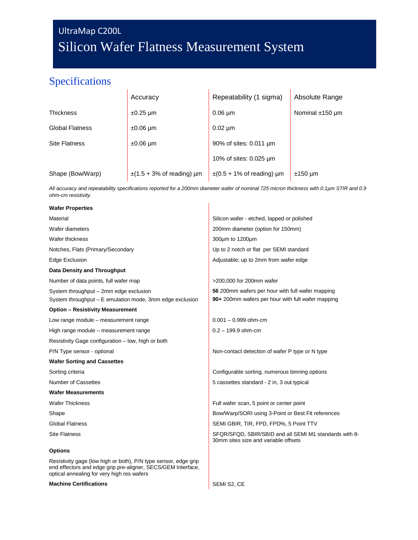# UltraMap C200L Silicon Wafer Flatness Measurement System

### Specifications

|                        | Accuracy                       | Repeatability (1 sigma)        | Absolute Range       |  |
|------------------------|--------------------------------|--------------------------------|----------------------|--|
| Thickness              | $\pm 0.25$ µm                  | $0.06 \mu m$                   | Nominal $±150 \mu m$ |  |
| <b>Global Flatness</b> | $±0.06 \mu m$                  | $0.02 \mu m$                   |                      |  |
| <b>Site Flatness</b>   | $±0.06 \mu m$                  | 90% of sites: 0.011 um         |                      |  |
|                        |                                | 10% of sites: 0.025 µm         |                      |  |
| Shape (Bow/Warp)       | $\pm$ (1.5 + 3% of reading) µm | $\pm$ (0.5 + 1% of reading) µm | $±150 \mu m$         |  |

*All accuracy and repeatability specifications reported for a 200mm diameter wafer of nominal 725 micron thickness with 0.1µm STIR and 0.9 ohm-cm resistivity.*

| <b>Wafer Properties</b>                                                                                                                                                       |                                                                                                |  |
|-------------------------------------------------------------------------------------------------------------------------------------------------------------------------------|------------------------------------------------------------------------------------------------|--|
| Material                                                                                                                                                                      | Silicon wafer - etched, lapped or polished                                                     |  |
| Wafer diameters                                                                                                                                                               | 200mm diameter (option for 150mm)                                                              |  |
| Wafer thickness                                                                                                                                                               | 300um to 1200um                                                                                |  |
| Notches, Flats (Primary/Secondary                                                                                                                                             | Up to 2 notch or flat per SEMI standard                                                        |  |
| Edge Exclusion                                                                                                                                                                | Adjustable; up to 2mm from wafer edge                                                          |  |
| <b>Data Density and Throughput</b>                                                                                                                                            |                                                                                                |  |
| Number of data points, full wafer map                                                                                                                                         | >200,000 for 200mm wafer                                                                       |  |
| System throughput - 2mm edge exclusion                                                                                                                                        | 56 200mm wafers per hour with full wafer mapping                                               |  |
| System throughput – E emulation mode, 3mm edge exclusion                                                                                                                      | 90+ 200mm wafers per hour with full wafer mapping                                              |  |
| <b>Option - Resistivity Measurement</b>                                                                                                                                       |                                                                                                |  |
| Low range module – measurement range                                                                                                                                          | $0.001 - 0.999$ ohm-cm                                                                         |  |
| High range module – measurement range                                                                                                                                         | $0.2 - 199.9$ ohm-cm                                                                           |  |
| Resistivity Gage configuration – low, high or both                                                                                                                            |                                                                                                |  |
| P/N Type sensor - optional                                                                                                                                                    | Non-contact detection of wafer P type or N type                                                |  |
| <b>Wafer Sorting and Cassettes</b>                                                                                                                                            |                                                                                                |  |
| Sorting criteria                                                                                                                                                              | Configurable sorting, numerous binning options                                                 |  |
| <b>Number of Cassettes</b>                                                                                                                                                    | 5 cassettes standard - 2 in, 3 out typical                                                     |  |
| <b>Wafer Measurements</b>                                                                                                                                                     |                                                                                                |  |
| <b>Wafer Thickness</b>                                                                                                                                                        | Full wafer scan, 5 point or center point                                                       |  |
| Shape                                                                                                                                                                         | Bow/Warp/SORI using 3-Point or Best Fit references                                             |  |
| <b>Global Flatness</b>                                                                                                                                                        | SEMI GBIR, TIR, FPD, FPD%, 5 Point TTV                                                         |  |
| Site Flatness                                                                                                                                                                 | SFQR/SFQD, SBIR/SBID and all SEMI M1 standards with 8-<br>30mm sites size and variable offsets |  |
| <b>Options</b>                                                                                                                                                                |                                                                                                |  |
| Resistivity gage (low high or both), P/N type sensor, edge grip<br>end effectors and edge grip pre-aligner, SECS/GEM Interface,<br>optical annealing for very high res wafers |                                                                                                |  |

#### **Machine Certifications SEMI S2, CE**